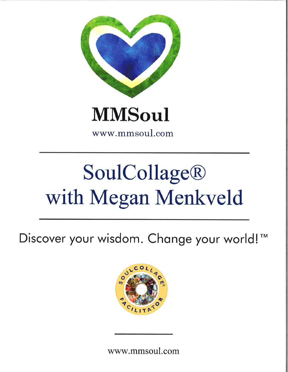

www.mmsoul.com

# **SoulCollage®** with Megan Menkveld

Discover your wisdom. Change your world!™



www.mmsoul.com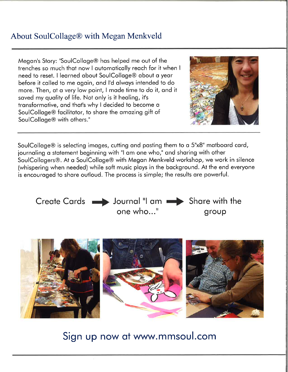#### About SoulCollage@ with Megan Menkveld

Megon's Story: "SoulColloge@ hos helped me out of the trenches so much thot now I outomoticolly reoch for it when <sup>I</sup> need to reset. I leorned obout SoulColloge@ obout o yeor before it colled to me ogoin, ond I'd olwoys intended to do more. Then, at a very low point, I made time to do it, and it saved my quality of life. Not only is it healing, it's tronsformotive, ond thot's why I decided to become o SoulColloge@ focilitotor, to shore the omozing gift of SoulColloge@ with others."



SoulColloge@ is selecting imoges, cutting ond posting them to q 5"x8" motboord cord, journaling a statement beginning with "I am one who," and sharing with other SoulCollogers@. At o SoulColloge@ with Megon Menkveld workshop, we work in silence (whispering when needed) while soft music ploys in the bockground. At the end everyone is encouroged to shore outloud. The process is simple; the results ore powerful.





Sign up now at www.mmsoul.com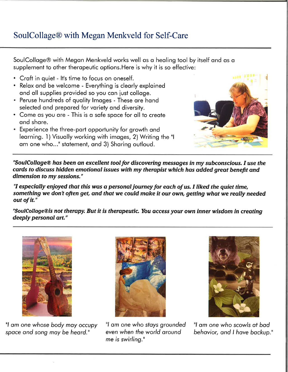### SoulCollage@ with Megan Menkveld for Self-Care

SoulColloge@ with Megon Menkveld works well os o heoling tool by itself ond os o supplement to other therapeutic options. Here is why it is so effective:

- Craft in quiet It's time to focus on oneself.
- . Relox ond be welcome Everything is cleorly exploined and all supplies provided so you can just collage.
- . Peruse hundreds of quolity lmoges These ore hond selected and prepared for variety and diversity.
- Come as you are This is a safe space for all to create ond shore.
- . Experience lhe three-port opportunity for growth ond learning. 1) Visually working with images, 2) Writing the "I am one who..." statement, and 3) Sharing outloud.



"SoulCollage® has been an excellent tool for discovering messages in my subconscious. I use the cards to discuss hidden emotional issues with my therapist which has added great benefit and dimension to my sessions."

"I especially enjoyed that this was a personal journey for each of us. I liked the quiet time, something we don't often get, and that we could make it our own, getting what we really needed out of it."

"SoulCollage®is not therapy. But it is therapeutic. You access your own inner wisdom in creating deeply personal ort."



"l om one whose body moy occupy spoce ond song moy be heord."



"l om one who sfoys grounded even when the world oround me is swirling."



"l om one who scowls of bod behavior, ond I hove bockup."